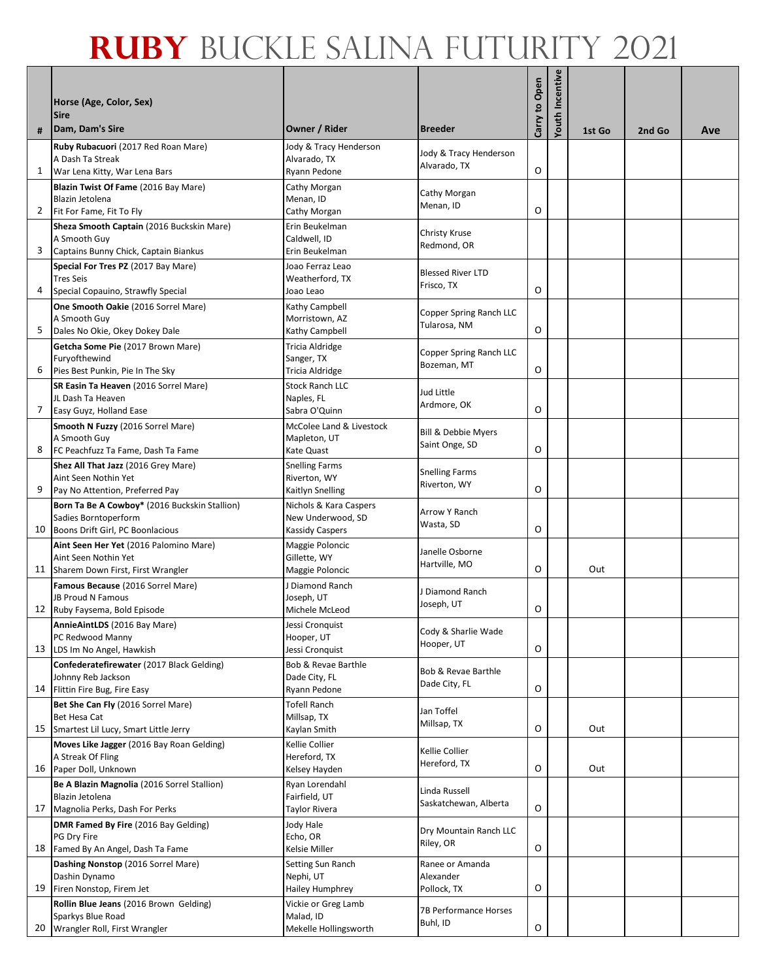| #  | Horse (Age, Color, Sex)<br><b>Sire</b><br>Dam, Dam's Sire                     | Owner / Rider                             | <b>Breeder</b>                         | Carry to Open | Youth Incentive | 1st Go | 2nd Go | Ave |
|----|-------------------------------------------------------------------------------|-------------------------------------------|----------------------------------------|---------------|-----------------|--------|--------|-----|
|    | Ruby Rubacuori (2017 Red Roan Mare)                                           | Jody & Tracy Henderson                    | Jody & Tracy Henderson                 |               |                 |        |        |     |
|    | A Dash Ta Streak                                                              | Alvarado, TX                              | Alvarado, TX                           | O             |                 |        |        |     |
| 1  | War Lena Kitty, War Lena Bars<br>Blazin Twist Of Fame (2016 Bay Mare)         | Ryann Pedone<br>Cathy Morgan              |                                        |               |                 |        |        |     |
|    | Blazin Jetolena                                                               | Menan, ID                                 | Cathy Morgan                           |               |                 |        |        |     |
| 2  | Fit For Fame, Fit To Fly                                                      | Cathy Morgan                              | Menan, ID                              | O             |                 |        |        |     |
|    | Sheza Smooth Captain (2016 Buckskin Mare)<br>A Smooth Guv                     | Erin Beukelman<br>Caldwell, ID            | Christy Kruse                          |               |                 |        |        |     |
| 3  | Captains Bunny Chick, Captain Biankus                                         | Erin Beukelman                            | Redmond, OR                            |               |                 |        |        |     |
|    | Special For Tres PZ (2017 Bay Mare)                                           | Joao Ferraz Leao                          | <b>Blessed River LTD</b>               |               |                 |        |        |     |
|    | <b>Tres Seis</b>                                                              | Weatherford, TX                           | Frisco, TX                             | O             |                 |        |        |     |
| 4  | Special Copauino, Strawfly Special<br>One Smooth Oakie (2016 Sorrel Mare)     | Joao Leao<br>Kathy Campbell               |                                        |               |                 |        |        |     |
|    | A Smooth Guy                                                                  | Morristown, AZ                            | Copper Spring Ranch LLC                |               |                 |        |        |     |
| 5  | Dales No Okie, Okey Dokey Dale                                                | Kathy Campbell                            | Tularosa, NM                           | O             |                 |        |        |     |
|    | Getcha Some Pie (2017 Brown Mare)<br>Furyofthewind                            | Tricia Aldridge                           | Copper Spring Ranch LLC                |               |                 |        |        |     |
| 6  | Pies Best Punkin, Pie In The Sky                                              | Sanger, TX<br><b>Tricia Aldridge</b>      | Bozeman, MT                            | O             |                 |        |        |     |
|    | SR Easin Ta Heaven (2016 Sorrel Mare)                                         | <b>Stock Ranch LLC</b>                    | Jud Little                             |               |                 |        |        |     |
|    | JL Dash Ta Heaven                                                             | Naples, FL                                | Ardmore, OK                            |               |                 |        |        |     |
| 7  | Easy Guyz, Holland Ease                                                       | Sabra O'Quinn<br>McColee Land & Livestock |                                        | O             |                 |        |        |     |
|    | Smooth N Fuzzy (2016 Sorrel Mare)<br>A Smooth Guy                             | Mapleton, UT                              | Bill & Debbie Myers                    |               |                 |        |        |     |
| 8  | FC Peachfuzz Ta Fame, Dash Ta Fame                                            | Kate Quast                                | Saint Onge, SD                         | O             |                 |        |        |     |
|    | Shez All That Jazz (2016 Grey Mare)                                           | <b>Snelling Farms</b>                     | <b>Snelling Farms</b>                  |               |                 |        |        |     |
| 9  | Aint Seen Nothin Yet<br>Pay No Attention, Preferred Pay                       | Riverton, WY<br>Kaitlyn Snelling          | Riverton, WY                           | O             |                 |        |        |     |
|    | Born Ta Be A Cowboy* (2016 Buckskin Stallion)                                 | Nichols & Kara Caspers                    | Arrow Y Ranch                          |               |                 |        |        |     |
|    | Sadies Borntoperform                                                          | New Underwood, SD                         | Wasta, SD                              |               |                 |        |        |     |
|    | 10 Boons Drift Girl, PC Boonlacious<br>Aint Seen Her Yet (2016 Palomino Mare) | Kassidy Caspers<br>Maggie Poloncic        |                                        | O             |                 |        |        |     |
|    | Aint Seen Nothin Yet                                                          | Gillette, WY                              | Janelle Osborne                        |               |                 |        |        |     |
|    | 11 Sharem Down First, First Wrangler                                          | Maggie Poloncic                           | Hartville, MO                          | O             |                 | Out    |        |     |
|    | Famous Because (2016 Sorrel Mare)<br><b>JB Proud N Famous</b>                 | J Diamond Ranch<br>Joseph, UT             | J Diamond Ranch                        |               |                 |        |        |     |
|    | 12 Ruby Faysema, Bold Episode                                                 | Michele McLeod                            | Joseph, UT                             | O             |                 |        |        |     |
|    | AnnieAintLDS (2016 Bay Mare)                                                  | Jessi Cronquist                           | Cody & Sharlie Wade                    |               |                 |        |        |     |
| 13 | PC Redwood Manny                                                              | Hooper, UT                                | Hooper, UT                             | O             |                 |        |        |     |
|    | LDS Im No Angel, Hawkish<br>Confederatefirewater (2017 Black Gelding)         | Jessi Cronquist<br>Bob & Revae Barthle    |                                        |               |                 |        |        |     |
|    | Johnny Reb Jackson                                                            | Dade City, FL                             | Bob & Revae Barthle<br>Dade City, FL   |               |                 |        |        |     |
|    | 14 Flittin Fire Bug, Fire Easy                                                | Ryann Pedone                              |                                        | O             |                 |        |        |     |
|    | Bet She Can Fly (2016 Sorrel Mare)<br>Bet Hesa Cat                            | Tofell Ranch<br>Millsap, TX               | Jan Toffel                             |               |                 |        |        |     |
|    | 15 Smartest Lil Lucy, Smart Little Jerry                                      | Kaylan Smith                              | Millsap, TX                            | O             |                 | Out    |        |     |
|    | Moves Like Jagger (2016 Bay Roan Gelding)                                     | Kellie Collier                            | Kellie Collier                         |               |                 |        |        |     |
|    | A Streak Of Fling<br>16 Paper Doll, Unknown                                   | Hereford, TX<br>Kelsey Hayden             | Hereford, TX                           | O             |                 | Out    |        |     |
|    | Be A Blazin Magnolia (2016 Sorrel Stallion)                                   | Ryan Lorendahl                            |                                        |               |                 |        |        |     |
|    | Blazin Jetolena                                                               | Fairfield, UT                             | Linda Russell<br>Saskatchewan, Alberta |               |                 |        |        |     |
| 17 | Magnolia Perks, Dash For Perks                                                | Taylor Rivera                             |                                        | O             |                 |        |        |     |
|    | DMR Famed By Fire (2016 Bay Gelding)<br>PG Dry Fire                           | Jody Hale<br>Echo, OR                     | Dry Mountain Ranch LLC                 |               |                 |        |        |     |
|    | 18 Famed By An Angel, Dash Ta Fame                                            | Kelsie Miller                             | Riley, OR                              | O             |                 |        |        |     |
|    | Dashing Nonstop (2016 Sorrel Mare)                                            | Setting Sun Ranch                         | Ranee or Amanda                        |               |                 |        |        |     |
| 19 | Dashin Dynamo<br>Firen Nonstop, Firem Jet                                     | Nephi, UT<br>Hailey Humphrey              | Alexander<br>Pollock, TX               | O             |                 |        |        |     |
|    | Rollin Blue Jeans (2016 Brown Gelding)                                        | Vickie or Greg Lamb                       |                                        |               |                 |        |        |     |
|    | Sparkys Blue Road                                                             | Malad, ID                                 | 7B Performance Horses<br>Buhl, ID      |               |                 |        |        |     |
|    | 20 Wrangler Roll, First Wrangler                                              | Mekelle Hollingsworth                     |                                        | $\mathsf O$   |                 |        |        |     |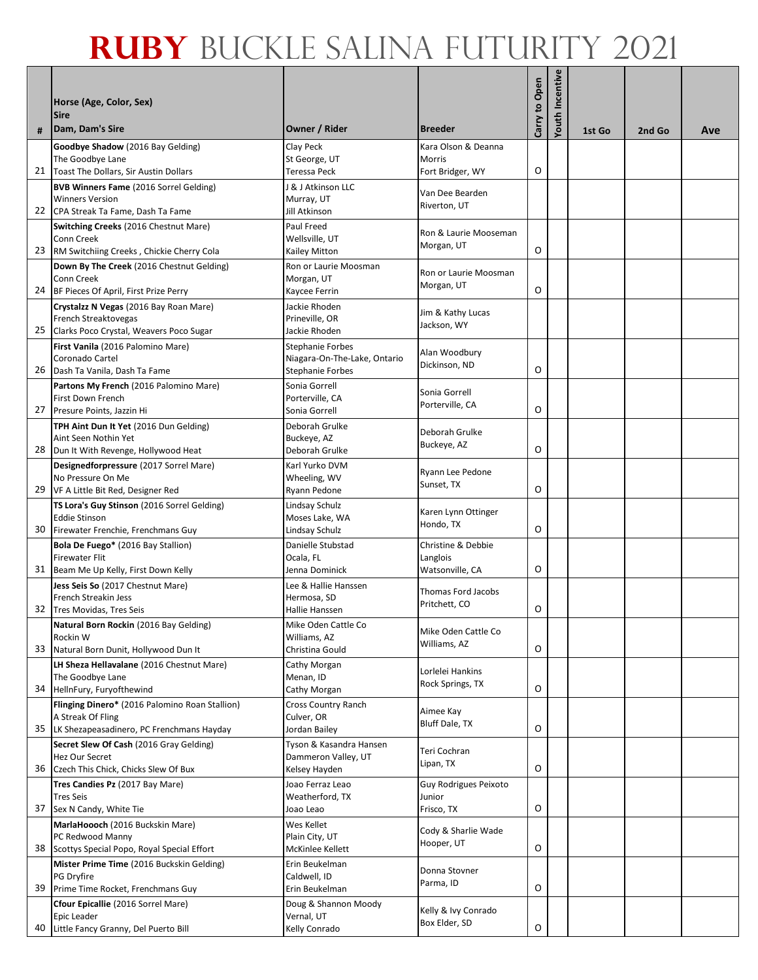|    | Horse (Age, Color, Sex)<br><b>Sire</b>                                             |                                                         |                                      | Carry to Open | Youth Incentive |        |        |     |
|----|------------------------------------------------------------------------------------|---------------------------------------------------------|--------------------------------------|---------------|-----------------|--------|--------|-----|
| #  | Dam, Dam's Sire                                                                    | Owner / Rider                                           | <b>Breeder</b>                       |               |                 | 1st Go | 2nd Go | Ave |
|    | Goodbye Shadow (2016 Bay Gelding)<br>The Goodbye Lane                              | Clay Peck<br>St George, UT                              | Kara Olson & Deanna<br>Morris        |               |                 |        |        |     |
| 21 | Toast The Dollars, Sir Austin Dollars                                              | Teressa Peck                                            | Fort Bridger, WY                     | O             |                 |        |        |     |
|    | <b>BVB Winners Fame (2016 Sorrel Gelding)</b>                                      | J & J Atkinson LLC                                      | Van Dee Bearden                      |               |                 |        |        |     |
| 22 | <b>Winners Version</b><br>CPA Streak Ta Fame, Dash Ta Fame                         | Murray, UT<br>Jill Atkinson                             | Riverton, UT                         |               |                 |        |        |     |
|    | Switching Creeks (2016 Chestnut Mare)                                              | Paul Freed                                              | Ron & Laurie Mooseman                |               |                 |        |        |     |
| 23 | Conn Creek<br>RM Switchiing Creeks, Chickie Cherry Cola                            | Wellsville, UT<br>Kailey Mitton                         | Morgan, UT                           | O             |                 |        |        |     |
|    | Down By The Creek (2016 Chestnut Gelding)                                          | Ron or Laurie Moosman                                   |                                      |               |                 |        |        |     |
|    | Conn Creek                                                                         | Morgan, UT                                              | Ron or Laurie Moosman<br>Morgan, UT  | O             |                 |        |        |     |
|    | 24 BF Pieces Of April, First Prize Perry<br>Crystalzz N Vegas (2016 Bay Roan Mare) | Kaycee Ferrin<br>Jackie Rhoden                          |                                      |               |                 |        |        |     |
|    | French Streaktovegas                                                               | Prineville, OR                                          | Jim & Kathy Lucas<br>Jackson, WY     |               |                 |        |        |     |
| 25 | Clarks Poco Crystal, Weavers Poco Sugar                                            | Jackie Rhoden                                           |                                      |               |                 |        |        |     |
|    | First Vanila (2016 Palomino Mare)<br>Coronado Cartel                               | <b>Stephanie Forbes</b><br>Niagara-On-The-Lake, Ontario | Alan Woodbury                        |               |                 |        |        |     |
| 26 | Dash Ta Vanila, Dash Ta Fame                                                       | <b>Stephanie Forbes</b>                                 | Dickinson, ND                        | O             |                 |        |        |     |
|    | Partons My French (2016 Palomino Mare)                                             | Sonia Gorrell                                           | Sonia Gorrell                        |               |                 |        |        |     |
| 27 | First Down French<br>Presure Points, Jazzin Hi                                     | Porterville, CA<br>Sonia Gorrell                        | Porterville, CA                      | O             |                 |        |        |     |
|    | TPH Aint Dun It Yet (2016 Dun Gelding)                                             | Deborah Grulke                                          | Deborah Grulke                       |               |                 |        |        |     |
| 28 | Aint Seen Nothin Yet<br>Dun It With Revenge, Hollywood Heat                        | Buckeye, AZ<br>Deborah Grulke                           | Buckeye, AZ                          | O             |                 |        |        |     |
|    | Designedforpressure (2017 Sorrel Mare)                                             | Karl Yurko DVM                                          |                                      |               |                 |        |        |     |
|    | No Pressure On Me                                                                  | Wheeling, WV                                            | Ryann Lee Pedone<br>Sunset, TX       |               |                 |        |        |     |
| 29 | VF A Little Bit Red, Designer Red<br>TS Lora's Guy Stinson (2016 Sorrel Gelding)   | Ryann Pedone<br>Lindsay Schulz                          |                                      | O             |                 |        |        |     |
|    | <b>Eddie Stinson</b>                                                               | Moses Lake, WA                                          | Karen Lynn Ottinger                  |               |                 |        |        |     |
| 30 | Firewater Frenchie, Frenchmans Guy                                                 | Lindsay Schulz                                          | Hondo, TX                            | O             |                 |        |        |     |
|    | Bola De Fuego* (2016 Bay Stallion)<br><b>Firewater Flit</b>                        | Danielle Stubstad<br>Ocala, FL                          | Christine & Debbie<br>Langlois       |               |                 |        |        |     |
| 31 | Beam Me Up Kelly, First Down Kelly                                                 | Jenna Dominick                                          | Watsonville, CA                      | O             |                 |        |        |     |
|    | Jess Seis So (2017 Chestnut Mare)                                                  | Lee & Hallie Hanssen                                    | Thomas Ford Jacobs                   |               |                 |        |        |     |
| 32 | French Streakin Jess<br>Tres Movidas, Tres Seis                                    | Hermosa, SD<br>Hallie Hanssen                           | Pritchett, CO                        | O             |                 |        |        |     |
|    | Natural Born Rockin (2016 Bay Gelding)                                             | Mike Oden Cattle Co                                     | Mike Oden Cattle Co                  |               |                 |        |        |     |
| 33 | Rockin W<br>Natural Born Dunit, Hollywood Dun It                                   | Williams, AZ<br>Christina Gould                         | Williams, AZ                         | O             |                 |        |        |     |
|    | LH Sheza Hellavalane (2016 Chestnut Mare)                                          | Cathy Morgan                                            |                                      |               |                 |        |        |     |
|    | The Goodbye Lane                                                                   | Menan, ID                                               | Lorlelei Hankins<br>Rock Springs, TX |               |                 |        |        |     |
| 34 | HellnFury, Furyofthewind<br>Flinging Dinero* (2016 Palomino Roan Stallion)         | Cathy Morgan<br>Cross Country Ranch                     |                                      | O             |                 |        |        |     |
|    | A Streak Of Fling                                                                  | Culver, OR                                              | Aimee Kay<br>Bluff Dale, TX          |               |                 |        |        |     |
| 35 | LK Shezapeasadinero, PC Frenchmans Hayday                                          | Jordan Bailey                                           |                                      | O             |                 |        |        |     |
|    | Secret Slew Of Cash (2016 Gray Gelding)<br>Hez Our Secret                          | Tyson & Kasandra Hansen<br>Dammeron Valley, UT          | Teri Cochran                         |               |                 |        |        |     |
| 36 | Czech This Chick, Chicks Slew Of Bux                                               | Kelsey Hayden                                           | Lipan, TX                            | O             |                 |        |        |     |
|    | Tres Candies Pz (2017 Bay Mare)<br><b>Tres Seis</b>                                | Joao Ferraz Leao<br>Weatherford, TX                     | Guy Rodrigues Peixoto<br>Junior      |               |                 |        |        |     |
| 37 | Sex N Candy, White Tie                                                             | Joao Leao                                               | Frisco, TX                           | O             |                 |        |        |     |
|    | MarlaHoooch (2016 Buckskin Mare)                                                   | Wes Kellet                                              | Cody & Sharlie Wade                  |               |                 |        |        |     |
| 38 | PC Redwood Manny<br>Scottys Special Popo, Royal Special Effort                     | Plain City, UT<br>McKinlee Kellett                      | Hooper, UT                           | O             |                 |        |        |     |
|    | Mister Prime Time (2016 Buckskin Gelding)                                          | Erin Beukelman                                          | Donna Stovner                        |               |                 |        |        |     |
| 39 | PG Dryfire<br>Prime Time Rocket, Frenchmans Guy                                    | Caldwell, ID<br>Erin Beukelman                          | Parma, ID                            | O             |                 |        |        |     |
|    | Cfour Epicallie (2016 Sorrel Mare)                                                 | Doug & Shannon Moody                                    |                                      |               |                 |        |        |     |
|    | Epic Leader                                                                        | Vernal, UT                                              | Kelly & Ivy Conrado<br>Box Elder, SD |               |                 |        |        |     |
| 40 | Little Fancy Granny, Del Puerto Bill                                               | Kelly Conrado                                           |                                      | O             |                 |        |        |     |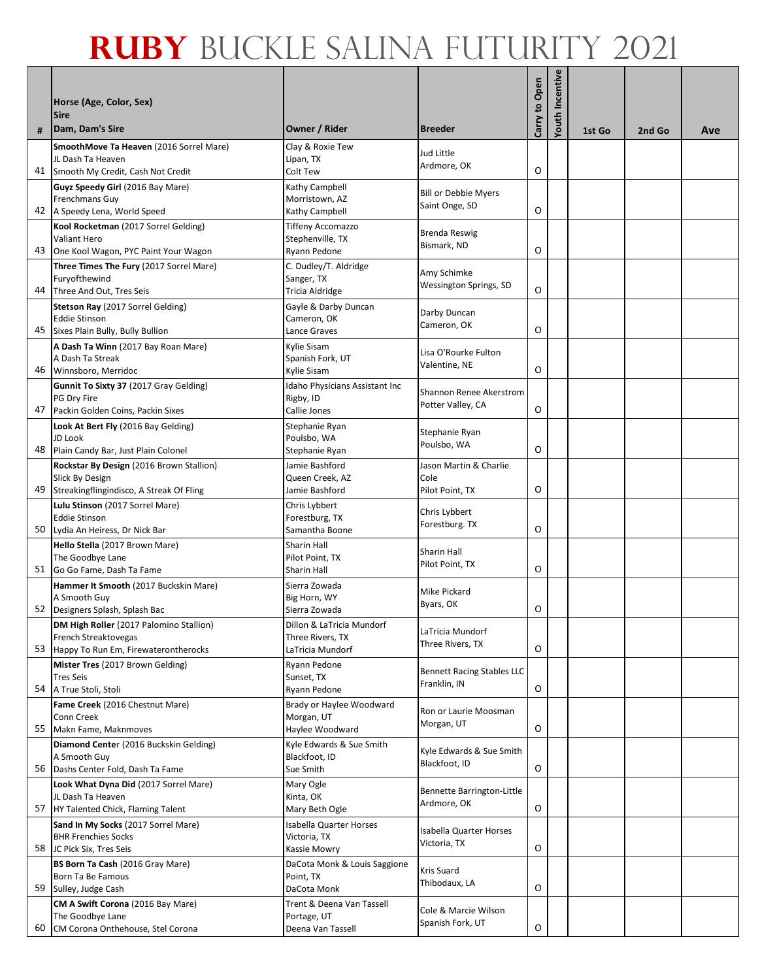| #  | Horse (Age, Color, Sex)<br><b>Sire</b><br>Dam, Dam's Sire         | Owner / Rider                               | <b>Breeder</b>                            | Carry to Open | Youth Incentive |        |        |     |
|----|-------------------------------------------------------------------|---------------------------------------------|-------------------------------------------|---------------|-----------------|--------|--------|-----|
|    | SmoothMove Ta Heaven (2016 Sorrel Mare)                           | Clay & Roxie Tew                            |                                           |               |                 | 1st Go | 2nd Go | Ave |
|    | JL Dash Ta Heaven                                                 | Lipan, TX                                   | Jud Little                                |               |                 |        |        |     |
|    | 41 Smooth My Credit, Cash Not Credit                              | Colt Tew                                    | Ardmore, OK                               | O             |                 |        |        |     |
|    | Guyz Speedy Girl (2016 Bay Mare)                                  | Kathy Campbell                              | <b>Bill or Debbie Myers</b>               |               |                 |        |        |     |
|    | Frenchmans Guy<br>42 A Speedy Lena, World Speed                   | Morristown, AZ<br>Kathy Campbell            | Saint Onge, SD                            | O             |                 |        |        |     |
|    | Kool Rocketman (2017 Sorrel Gelding)                              | Tiffeny Accomazzo                           |                                           |               |                 |        |        |     |
|    | <b>Valiant Hero</b>                                               | Stephenville, TX                            | Brenda Reswig<br>Bismark, ND              |               |                 |        |        |     |
| 43 | One Kool Wagon, PYC Paint Your Wagon                              | Ryann Pedone                                |                                           | O             |                 |        |        |     |
|    | Three Times The Fury (2017 Sorrel Mare)<br>Furyofthewind          | C. Dudley/T. Aldridge<br>Sanger, TX         | Amy Schimke                               |               |                 |        |        |     |
|    | 44 Three And Out, Tres Seis                                       | <b>Tricia Aldridge</b>                      | Wessington Springs, SD                    | O             |                 |        |        |     |
|    | Stetson Ray (2017 Sorrel Gelding)                                 | Gayle & Darby Duncan                        |                                           |               |                 |        |        |     |
|    | <b>Eddie Stinson</b>                                              | Cameron, OK                                 | Darby Duncan<br>Cameron, OK               |               |                 |        |        |     |
|    | 45 Sixes Plain Bully, Bully Bullion                               | Lance Graves                                |                                           | O             |                 |        |        |     |
|    | A Dash Ta Winn (2017 Bay Roan Mare)<br>A Dash Ta Streak           | Kylie Sisam<br>Spanish Fork, UT             | Lisa O'Rourke Fulton                      |               |                 |        |        |     |
|    | 46 Winnsboro, Merridoc                                            | Kylie Sisam                                 | Valentine, NE                             | O             |                 |        |        |     |
|    | Gunnit To Sixty 37 (2017 Gray Gelding)                            | Idaho Physicians Assistant Inc              | Shannon Renee Akerstrom                   |               |                 |        |        |     |
|    | PG Dry Fire<br>47 Packin Golden Coins, Packin Sixes               | Rigby, ID<br>Callie Jones                   | Potter Valley, CA                         | O             |                 |        |        |     |
|    | Look At Bert Fly (2016 Bay Gelding)                               | Stephanie Ryan                              |                                           |               |                 |        |        |     |
|    | JD Look                                                           | Poulsbo, WA                                 | Stephanie Ryan<br>Poulsbo, WA             |               |                 |        |        |     |
|    | 48 Plain Candy Bar, Just Plain Colonel                            | Stephanie Ryan                              |                                           | O             |                 |        |        |     |
|    | Rockstar By Design (2016 Brown Stallion)                          | Jamie Bashford                              | Jason Martin & Charlie                    |               |                 |        |        |     |
|    | Slick By Design<br>49 Streakingflingindisco, A Streak Of Fling    | Queen Creek, AZ<br>Jamie Bashford           | Cole<br>Pilot Point, TX                   | O             |                 |        |        |     |
|    | Lulu Stinson (2017 Sorrel Mare)                                   | Chris Lybbert                               |                                           |               |                 |        |        |     |
|    | <b>Eddie Stinson</b>                                              | Forestburg, TX                              | Chris Lybbert<br>Forestburg. TX           |               |                 |        |        |     |
|    | 50 Lydia An Heiress, Dr Nick Bar                                  | Samantha Boone                              |                                           | O             |                 |        |        |     |
|    | Hello Stella (2017 Brown Mare)<br>The Goodbye Lane                | Sharin Hall<br>Pilot Point, TX              | Sharin Hall                               |               |                 |        |        |     |
| 51 | Go Go Fame, Dash Ta Fame                                          | Sharin Hall                                 | Pilot Point, TX                           | O             |                 |        |        |     |
|    | Hammer It Smooth (2017 Buckskin Mare)                             | Sierra Zowada                               | Mike Pickard                              |               |                 |        |        |     |
|    | A Smooth Guy<br>52 Designers Splash, Splash Bac                   | Big Horn, WY<br>Sierra Zowada               | Byars, OK                                 | O             |                 |        |        |     |
|    | DM High Roller (2017 Palomino Stallion)                           | Dillon & LaTricia Mundorf                   |                                           |               |                 |        |        |     |
|    | French Streaktovegas                                              | Three Rivers, TX                            | LaTricia Mundorf<br>Three Rivers, TX      |               |                 |        |        |     |
|    | 53 Happy To Run Em, Firewaterontherocks                           | LaTricia Mundorf                            |                                           | O             |                 |        |        |     |
|    | Mister Tres (2017 Brown Gelding)<br><b>Tres Seis</b>              | Ryann Pedone<br>Sunset, TX                  | <b>Bennett Racing Stables LLC</b>         |               |                 |        |        |     |
|    | 54 A True Stoli, Stoli                                            | Ryann Pedone                                | Franklin, IN                              | O             |                 |        |        |     |
|    | Fame Creek (2016 Chestnut Mare)                                   | Brady or Haylee Woodward                    | Ron or Laurie Moosman                     |               |                 |        |        |     |
|    | Conn Creek                                                        | Morgan, UT                                  | Morgan, UT                                | O             |                 |        |        |     |
|    | 55 Makn Fame, Maknmoves<br>Diamond Center (2016 Buckskin Gelding) | Haylee Woodward<br>Kyle Edwards & Sue Smith |                                           |               |                 |        |        |     |
|    | A Smooth Guy                                                      | Blackfoot, ID                               | Kyle Edwards & Sue Smith<br>Blackfoot, ID |               |                 |        |        |     |
|    | 56 Dashs Center Fold, Dash Ta Fame                                | Sue Smith                                   |                                           | O             |                 |        |        |     |
|    | Look What Dyna Did (2017 Sorrel Mare)                             | Mary Ogle                                   | Bennette Barrington-Little                |               |                 |        |        |     |
| 57 | JL Dash Ta Heaven<br>HY Talented Chick, Flaming Talent            | Kinta, OK<br>Mary Beth Ogle                 | Ardmore, OK                               | O             |                 |        |        |     |
|    | Sand In My Socks (2017 Sorrel Mare)                               | Isabella Quarter Horses                     |                                           |               |                 |        |        |     |
|    | <b>BHR Frenchies Socks</b>                                        | Victoria, TX                                | Isabella Quarter Horses<br>Victoria, TX   |               |                 |        |        |     |
|    | 58 JC Pick Six, Tres Seis                                         | Kassie Mowry                                |                                           | O             |                 |        |        |     |
|    | BS Born Ta Cash (2016 Gray Mare)<br>Born Ta Be Famous             | DaCota Monk & Louis Saggione<br>Point, TX   | Kris Suard                                |               |                 |        |        |     |
| 59 | Sulley, Judge Cash                                                | DaCota Monk                                 | Thibodaux, LA                             | O             |                 |        |        |     |
|    | CM A Swift Corona (2016 Bay Mare)                                 | Trent & Deena Van Tassell                   | Cole & Marcie Wilson                      |               |                 |        |        |     |
|    | The Goodbye Lane<br>60 CM Corona Onthehouse, Stel Corona          | Portage, UT<br>Deena Van Tassell            | Spanish Fork, UT                          | $\mathsf O$   |                 |        |        |     |
|    |                                                                   |                                             |                                           |               |                 |        |        |     |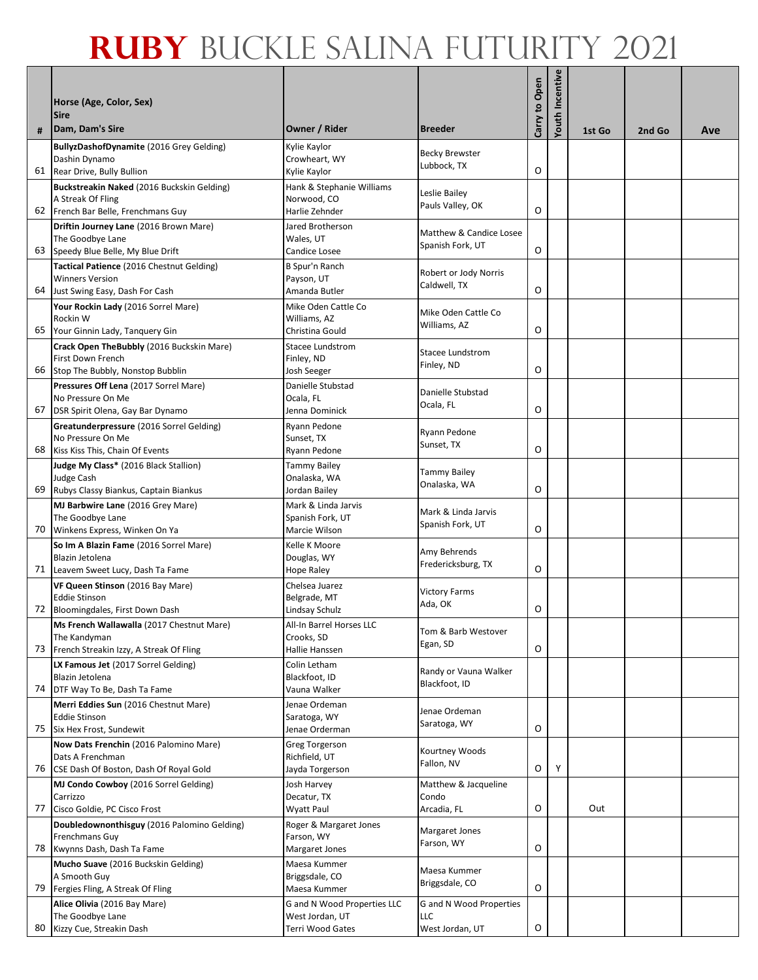| #  | Horse (Age, Color, Sex)<br><b>Sire</b><br>Dam, Dam's Sire     | Owner / Rider                              | <b>Breeder</b>                      | Carry to Open | Incentive<br>Youth | 1st Go | 2nd Go | Ave |
|----|---------------------------------------------------------------|--------------------------------------------|-------------------------------------|---------------|--------------------|--------|--------|-----|
|    | BullyzDashofDynamite (2016 Grey Gelding)                      | Kylie Kaylor                               |                                     |               |                    |        |        |     |
|    | Dashin Dynamo                                                 | Crowheart, WY                              | <b>Becky Brewster</b>               |               |                    |        |        |     |
|    | 61 Rear Drive, Bully Bullion                                  | Kylie Kaylor                               | Lubbock, TX                         | O             |                    |        |        |     |
|    | Buckstreakin Naked (2016 Buckskin Gelding)                    | Hank & Stephanie Williams                  | Leslie Bailey                       |               |                    |        |        |     |
|    | A Streak Of Fling                                             | Norwood, CO                                | Pauls Valley, OK                    | O             |                    |        |        |     |
| 62 | French Bar Belle, Frenchmans Guy                              | Harlie Zehnder                             |                                     |               |                    |        |        |     |
|    | Driftin Journey Lane (2016 Brown Mare)<br>The Goodbye Lane    | Jared Brotherson<br>Wales, UT              | Matthew & Candice Losee             |               |                    |        |        |     |
| 63 | Speedy Blue Belle, My Blue Drift                              | Candice Losee                              | Spanish Fork, UT                    | O             |                    |        |        |     |
|    | Tactical Patience (2016 Chestnut Gelding)                     | B Spur'n Ranch                             | Robert or Jody Norris               |               |                    |        |        |     |
|    | <b>Winners Version</b>                                        | Payson, UT                                 | Caldwell, TX                        |               |                    |        |        |     |
| 64 | Just Swing Easy, Dash For Cash                                | Amanda Butler                              |                                     | O             |                    |        |        |     |
|    | Your Rockin Lady (2016 Sorrel Mare)                           | Mike Oden Cattle Co                        | Mike Oden Cattle Co                 |               |                    |        |        |     |
| 65 | Rockin W<br>Your Ginnin Lady, Tanquery Gin                    | Williams, AZ<br>Christina Gould            | Williams, AZ                        | O             |                    |        |        |     |
|    | Crack Open TheBubbly (2016 Buckskin Mare)                     | Stacee Lundstrom                           |                                     |               |                    |        |        |     |
|    | First Down French                                             | Finley, ND                                 | <b>Stacee Lundstrom</b>             |               |                    |        |        |     |
|    | 66 Stop The Bubbly, Nonstop Bubblin                           | Josh Seeger                                | Finley, ND                          | O             |                    |        |        |     |
|    | Pressures Off Lena (2017 Sorrel Mare)                         | Danielle Stubstad                          | Danielle Stubstad                   |               |                    |        |        |     |
|    | No Pressure On Me                                             | Ocala, FL                                  | Ocala, FL                           |               |                    |        |        |     |
| 67 | DSR Spirit Olena, Gay Bar Dynamo                              | Jenna Dominick                             |                                     | O             |                    |        |        |     |
|    | Greatunderpressure (2016 Sorrel Gelding)<br>No Pressure On Me | Ryann Pedone<br>Sunset, TX                 | Ryann Pedone                        |               |                    |        |        |     |
| 68 | Kiss Kiss This, Chain Of Events                               | Ryann Pedone                               | Sunset, TX                          | O             |                    |        |        |     |
|    | Judge My Class* (2016 Black Stallion)                         | Tammy Bailey                               |                                     |               |                    |        |        |     |
|    | Judge Cash                                                    | Onalaska, WA                               | <b>Tammy Bailey</b><br>Onalaska, WA |               |                    |        |        |     |
|    | 69 Rubys Classy Biankus, Captain Biankus                      | Jordan Bailey                              |                                     | O             |                    |        |        |     |
|    | MJ Barbwire Lane (2016 Grey Mare)                             | Mark & Linda Jarvis                        | Mark & Linda Jarvis                 |               |                    |        |        |     |
|    | The Goodbye Lane<br>70 Winkens Express, Winken On Ya          | Spanish Fork, UT<br>Marcie Wilson          | Spanish Fork, UT                    | O             |                    |        |        |     |
|    | So Im A Blazin Fame (2016 Sorrel Mare)                        | Kelle K Moore                              |                                     |               |                    |        |        |     |
|    | Blazin Jetolena                                               | Douglas, WY                                | Amy Behrends                        |               |                    |        |        |     |
| 71 | Leavem Sweet Lucy, Dash Ta Fame                               | Hope Raley                                 | Fredericksburg, TX                  | O             |                    |        |        |     |
|    | VF Queen Stinson (2016 Bay Mare)                              | Chelsea Juarez                             | <b>Victory Farms</b>                |               |                    |        |        |     |
|    | <b>Eddie Stinson</b>                                          | Belgrade, MT                               | Ada, OK                             | O             |                    |        |        |     |
|    | 72 Bloomingdales, First Down Dash                             | Lindsay Schulz<br>All-In Barrel Horses LLC |                                     |               |                    |        |        |     |
|    | Ms French Wallawalla (2017 Chestnut Mare)<br>The Kandyman     | Crooks, SD                                 | Tom & Barb Westover                 |               |                    |        |        |     |
|    | 73 French Streakin Izzy, A Streak Of Fling                    | Hallie Hanssen                             | Egan, SD                            | O             |                    |        |        |     |
|    | LX Famous Jet (2017 Sorrel Gelding)                           | Colin Letham                               | Randy or Vauna Walker               |               |                    |        |        |     |
|    | Blazin Jetolena                                               | Blackfoot, ID                              | Blackfoot, ID                       |               |                    |        |        |     |
|    | 74 DTF Way To Be, Dash Ta Fame                                | Vauna Walker                               |                                     |               |                    |        |        |     |
|    | Merri Eddies Sun (2016 Chestnut Mare)<br><b>Eddie Stinson</b> | Jenae Ordeman<br>Saratoga, WY              | Jenae Ordeman                       |               |                    |        |        |     |
|    | 75 Six Hex Frost, Sundewit                                    | Jenae Orderman                             | Saratoga, WY                        | O             |                    |        |        |     |
|    | Now Dats Frenchin (2016 Palomino Mare)                        | Greg Torgerson                             |                                     |               |                    |        |        |     |
|    | Dats A Frenchman                                              | Richfield, UT                              | Kourtney Woods<br>Fallon, NV        |               |                    |        |        |     |
| 76 | CSE Dash Of Boston, Dash Of Royal Gold                        | Jayda Torgerson                            |                                     | O             | Y                  |        |        |     |
|    | MJ Condo Cowboy (2016 Sorrel Gelding)                         | Josh Harvey                                | Matthew & Jacqueline                |               |                    |        |        |     |
| 77 | Carrizzo<br>Cisco Goldie, PC Cisco Frost                      | Decatur, TX<br>Wyatt Paul                  | Condo<br>Arcadia, FL                | O             |                    | Out    |        |     |
|    | Doubledownonthisguy (2016 Palomino Gelding)                   | Roger & Margaret Jones                     |                                     |               |                    |        |        |     |
|    | Frenchmans Guy                                                | Farson, WY                                 | Margaret Jones                      |               |                    |        |        |     |
|    | 78 Kwynns Dash, Dash Ta Fame                                  | Margaret Jones                             | Farson, WY                          | O             |                    |        |        |     |
|    | Mucho Suave (2016 Buckskin Gelding)                           | Maesa Kummer                               | Maesa Kummer                        |               |                    |        |        |     |
| 79 | A Smooth Guy<br>Fergies Fling, A Streak Of Fling              | Briggsdale, CO<br>Maesa Kummer             | Briggsdale, CO                      | O             |                    |        |        |     |
|    | Alice Olivia (2016 Bay Mare)                                  | G and N Wood Properties LLC                | G and N Wood Properties             |               |                    |        |        |     |
|    | The Goodbye Lane                                              | West Jordan, UT                            | LLC                                 |               |                    |        |        |     |
| 80 | Kizzy Cue, Streakin Dash                                      | Terri Wood Gates                           | West Jordan, UT                     | O             |                    |        |        |     |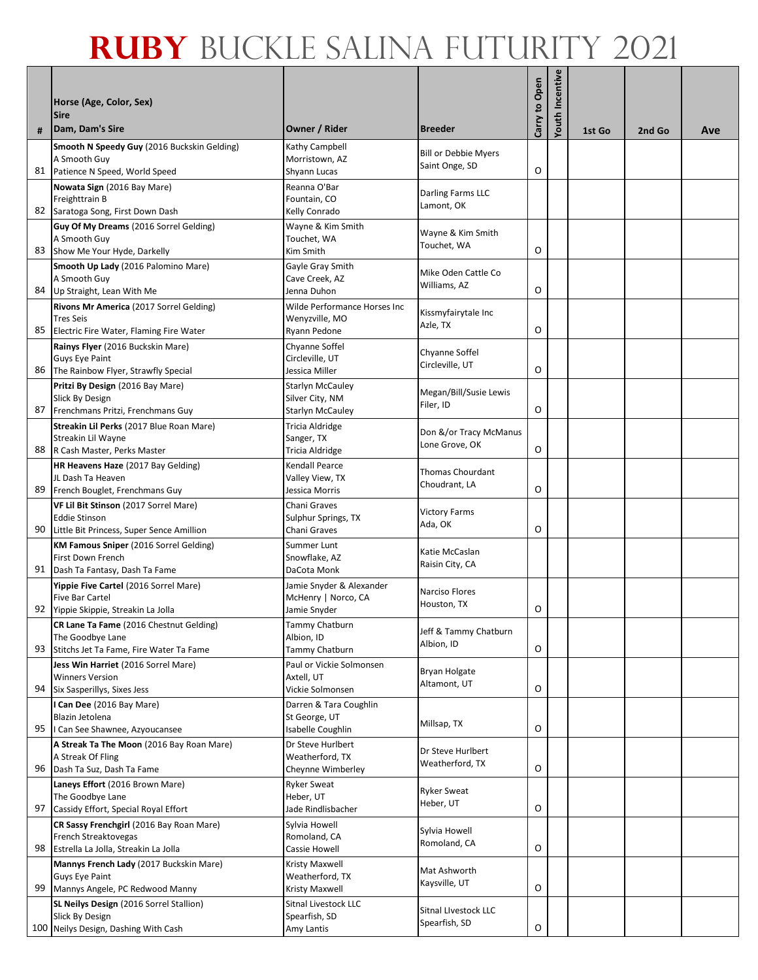|    | Horse (Age, Color, Sex)<br><b>Sire</b>                                                                     |                                                                       |                                               | Carry to Open | Incentive |        |        |     |
|----|------------------------------------------------------------------------------------------------------------|-----------------------------------------------------------------------|-----------------------------------------------|---------------|-----------|--------|--------|-----|
| #  | Dam, Dam's Sire                                                                                            | Owner / Rider                                                         | <b>Breeder</b>                                |               | Youth     | 1st Go | 2nd Go | Ave |
| 81 | Smooth N Speedy Guy (2016 Buckskin Gelding)<br>A Smooth Guy<br>Patience N Speed, World Speed               | Kathy Campbell<br>Morristown, AZ<br>Shyann Lucas                      | <b>Bill or Debbie Myers</b><br>Saint Onge, SD | O             |           |        |        |     |
| 82 | Nowata Sign (2016 Bay Mare)<br>Freighttrain B<br>Saratoga Song, First Down Dash                            | Reanna O'Bar<br>Fountain, CO<br>Kelly Conrado                         | Darling Farms LLC<br>Lamont, OK               |               |           |        |        |     |
| 83 | Guy Of My Dreams (2016 Sorrel Gelding)<br>A Smooth Guy<br>Show Me Your Hyde, Darkelly                      | Wayne & Kim Smith<br>Touchet, WA<br>Kim Smith                         | Wayne & Kim Smith<br>Touchet, WA              | O             |           |        |        |     |
| 84 | Smooth Up Lady (2016 Palomino Mare)<br>A Smooth Guy<br>Up Straight, Lean With Me                           | Gayle Gray Smith<br>Cave Creek, AZ<br>Jenna Duhon                     | Mike Oden Cattle Co<br>Williams, AZ           | O             |           |        |        |     |
| 85 | Rivons Mr America (2017 Sorrel Gelding)<br><b>Tres Seis</b><br>Electric Fire Water, Flaming Fire Water     | Wilde Performance Horses Inc<br>Wenyzville, MO<br>Ryann Pedone        | Kissmyfairytale Inc<br>Azle, TX               | O             |           |        |        |     |
| 86 | Rainys Flyer (2016 Buckskin Mare)<br>Guys Eye Paint<br>The Rainbow Flyer, Strawfly Special                 | Chyanne Soffel<br>Circleville, UT<br>Jessica Miller                   | Chyanne Soffel<br>Circleville, UT             | O             |           |        |        |     |
| 87 | Pritzi By Design (2016 Bay Mare)<br>Slick By Design<br>Frenchmans Pritzi, Frenchmans Guy                   | <b>Starlyn McCauley</b><br>Silver City, NM<br><b>Starlyn McCauley</b> | Megan/Bill/Susie Lewis<br>Filer, ID           | O             |           |        |        |     |
| 88 | Streakin Lil Perks (2017 Blue Roan Mare)<br>Streakin Lil Wayne<br>R Cash Master, Perks Master              | Tricia Aldridge<br>Sanger, TX<br><b>Tricia Aldridge</b>               | Don &/or Tracy McManus<br>Lone Grove, OK      | O             |           |        |        |     |
| 89 | HR Heavens Haze (2017 Bay Gelding)<br>JL Dash Ta Heaven<br>French Bouglet, Frenchmans Guy                  | Kendall Pearce<br>Valley View, TX<br>Jessica Morris                   | Thomas Chourdant<br>Choudrant, LA             | O             |           |        |        |     |
| 90 | VF Lil Bit Stinson (2017 Sorrel Mare)<br><b>Eddie Stinson</b><br>Little Bit Princess, Super Sence Amillion | Chani Graves<br>Sulphur Springs, TX<br>Chani Graves                   | <b>Victory Farms</b><br>Ada, OK               | O             |           |        |        |     |
| 91 | <b>KM Famous Sniper</b> (2016 Sorrel Gelding)<br>First Down French<br>Dash Ta Fantasy, Dash Ta Fame        | Summer Lunt<br>Snowflake, AZ<br>DaCota Monk                           | Katie McCaslan<br>Raisin City, CA             |               |           |        |        |     |
| 92 | Yippie Five Cartel (2016 Sorrel Mare)<br>Five Bar Cartel<br>Yippie Skippie, Streakin La Jolla              | Jamie Snyder & Alexander<br>McHenry   Norco, CA<br>Jamie Snyder       | Narciso Flores<br>Houston, TX                 | O             |           |        |        |     |
| 93 | CR Lane Ta Fame (2016 Chestnut Gelding)<br>The Goodbye Lane<br>Stitchs Jet Ta Fame, Fire Water Ta Fame     | Tammy Chatburn<br>Albion, ID<br>Tammy Chatburn                        | Jeff & Tammy Chatburn<br>Albion, ID           | O             |           |        |        |     |
| 94 | Jess Win Harriet (2016 Sorrel Mare)<br><b>Winners Version</b><br>Six Sasperillys, Sixes Jess               | Paul or Vickie Solmonsen<br>Axtell, UT<br>Vickie Solmonsen            | Bryan Holgate<br>Altamont, UT                 | O             |           |        |        |     |
| 95 | Can Dee (2016 Bay Mare)<br>Blazin Jetolena<br>I Can See Shawnee, Azyoucansee                               | Darren & Tara Coughlin<br>St George, UT<br>Isabelle Coughlin          | Millsap, TX                                   | O             |           |        |        |     |
| 96 | A Streak Ta The Moon (2016 Bay Roan Mare)<br>A Streak Of Fling<br>Dash Ta Suz, Dash Ta Fame                | Dr Steve Hurlbert<br>Weatherford, TX<br>Cheynne Wimberley             | Dr Steve Hurlbert<br>Weatherford, TX          | O             |           |        |        |     |
| 97 | Laneys Effort (2016 Brown Mare)<br>The Goodbye Lane<br>Cassidy Effort, Special Royal Effort                | <b>Ryker Sweat</b><br>Heber, UT<br>Jade Rindlisbacher                 | <b>Ryker Sweat</b><br>Heber, UT               | O             |           |        |        |     |
| 98 | CR Sassy Frenchgirl (2016 Bay Roan Mare)<br>French Streaktovegas<br>Estrella La Jolla, Streakin La Jolla   | Sylvia Howell<br>Romoland, CA<br>Cassie Howell                        | Sylvia Howell<br>Romoland, CA                 | O             |           |        |        |     |
| 99 | Mannys French Lady (2017 Buckskin Mare)<br>Guys Eye Paint<br>Mannys Angele, PC Redwood Manny               | Kristy Maxwell<br>Weatherford, TX<br>Kristy Maxwell                   | Mat Ashworth<br>Kaysville, UT                 | O             |           |        |        |     |
|    | SL Neilys Design (2016 Sorrel Stallion)<br>Slick By Design<br>100 Neilys Design, Dashing With Cash         | Sitnal Livestock LLC<br>Spearfish, SD<br>Amy Lantis                   | Sitnal Livestock LLC<br>Spearfish, SD         | O             |           |        |        |     |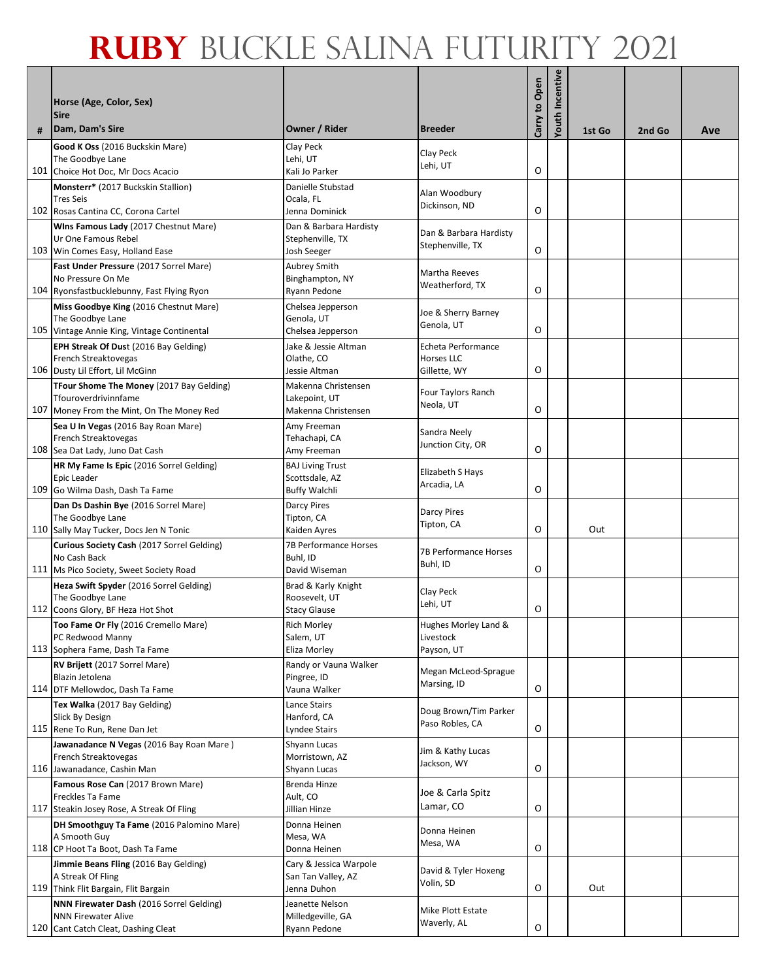| # | Horse (Age, Color, Sex)<br><b>Sire</b><br>Dam, Dam's Sire        | Owner / Rider                              | <b>Breeder</b>                      | Carry to Open | Incentive<br>Youth | 1st Go | 2nd Go | Ave |
|---|------------------------------------------------------------------|--------------------------------------------|-------------------------------------|---------------|--------------------|--------|--------|-----|
|   | Good K Oss (2016 Buckskin Mare)                                  | Clay Peck                                  |                                     |               |                    |        |        |     |
|   | The Goodbye Lane                                                 | Lehi, UT                                   | Clay Peck                           |               |                    |        |        |     |
|   | 101 Choice Hot Doc, Mr Docs Acacio                               | Kali Jo Parker                             | Lehi, UT                            | O             |                    |        |        |     |
|   | Monsterr* (2017 Buckskin Stallion)                               | Danielle Stubstad                          | Alan Woodbury                       |               |                    |        |        |     |
|   | <b>Tres Seis</b>                                                 | Ocala, FL                                  | Dickinson, ND                       | O             |                    |        |        |     |
|   | 102 Rosas Cantina CC, Corona Cartel                              | Jenna Dominick                             |                                     |               |                    |        |        |     |
|   | Wins Famous Lady (2017 Chestnut Mare)<br>Ur One Famous Rebel     | Dan & Barbara Hardisty<br>Stephenville, TX | Dan & Barbara Hardisty              |               |                    |        |        |     |
|   | 103 Win Comes Easy, Holland Ease                                 | Josh Seeger                                | Stephenville, TX                    | O             |                    |        |        |     |
|   | Fast Under Pressure (2017 Sorrel Mare)                           | Aubrey Smith                               | Martha Reeves                       |               |                    |        |        |     |
|   | No Pressure On Me                                                | Binghampton, NY                            | Weatherford, TX                     |               |                    |        |        |     |
|   | 104 Ryonsfastbucklebunny, Fast Flying Ryon                       | Ryann Pedone                               |                                     | O             |                    |        |        |     |
|   | Miss Goodbye King (2016 Chestnut Mare)<br>The Goodbye Lane       | Chelsea Jepperson<br>Genola, UT            | Joe & Sherry Barney                 |               |                    |        |        |     |
|   | 105 Vintage Annie King, Vintage Continental                      | Chelsea Jepperson                          | Genola, UT                          | O             |                    |        |        |     |
|   | EPH Streak Of Dust (2016 Bay Gelding)                            | Jake & Jessie Altman                       | Echeta Performance                  |               |                    |        |        |     |
|   | French Streaktovegas                                             | Olathe, CO                                 | Horses LLC                          |               |                    |        |        |     |
|   | 106 Dusty Lil Effort, Lil McGinn                                 | Jessie Altman                              | Gillette, WY                        | O             |                    |        |        |     |
|   | TFour Shome The Money (2017 Bay Gelding)<br>Tfouroverdrivinnfame | Makenna Christensen<br>Lakepoint, UT       | Four Taylors Ranch                  |               |                    |        |        |     |
|   | 107 Money From the Mint, On The Money Red                        | Makenna Christensen                        | Neola, UT                           | O             |                    |        |        |     |
|   | Sea U In Vegas (2016 Bay Roan Mare)                              | Amy Freeman                                |                                     |               |                    |        |        |     |
|   | French Streaktovegas                                             | Tehachapi, CA                              | Sandra Neely<br>Junction City, OR   |               |                    |        |        |     |
|   | 108 Sea Dat Lady, Juno Dat Cash                                  | Amy Freeman                                |                                     | O             |                    |        |        |     |
|   | HR My Fame Is Epic (2016 Sorrel Gelding)<br>Epic Leader          | <b>BAJ Living Trust</b>                    | Elizabeth S Hays                    |               |                    |        |        |     |
|   | 109 Go Wilma Dash, Dash Ta Fame                                  | Scottsdale, AZ<br><b>Buffy Walchli</b>     | Arcadia, LA                         | O             |                    |        |        |     |
|   | Dan Ds Dashin Bye (2016 Sorrel Mare)                             | <b>Darcy Pires</b>                         |                                     |               |                    |        |        |     |
|   | The Goodbye Lane                                                 | Tipton, CA                                 | <b>Darcy Pires</b><br>Tipton, CA    |               |                    |        |        |     |
|   | 110 Sally May Tucker, Docs Jen N Tonic                           | Kaiden Ayres                               |                                     | O             |                    | Out    |        |     |
|   | Curious Society Cash (2017 Sorrel Gelding)                       | 7B Performance Horses<br>Buhl, ID          | 7B Performance Horses               |               |                    |        |        |     |
|   | No Cash Back<br>111 Ms Pico Society, Sweet Society Road          | David Wiseman                              | Buhl, ID                            | O             |                    |        |        |     |
|   | Heza Swift Spyder (2016 Sorrel Gelding)                          | Brad & Karly Knight                        |                                     |               |                    |        |        |     |
|   | The Goodbye Lane                                                 | Roosevelt, UT                              | Clay Peck<br>Lehi, UT               |               |                    |        |        |     |
|   | 112 Coons Glory, BF Heza Hot Shot                                | <b>Stacy Glause</b>                        |                                     | O             |                    |        |        |     |
|   | Too Fame Or Fly (2016 Cremello Mare)                             | <b>Rich Morley</b><br>Salem, UT            | Hughes Morley Land &                |               |                    |        |        |     |
|   | PC Redwood Manny<br>113 Sophera Fame, Dash Ta Fame               | Eliza Morley                               | Livestock<br>Payson, UT             |               |                    |        |        |     |
|   | RV Brijett (2017 Sorrel Mare)                                    | Randy or Vauna Walker                      |                                     |               |                    |        |        |     |
|   | Blazin Jetolena                                                  | Pingree, ID                                | Megan McLeod-Sprague<br>Marsing, ID |               |                    |        |        |     |
|   | 114 DTF Mellowdoc, Dash Ta Fame                                  | Vauna Walker                               |                                     | O             |                    |        |        |     |
|   | Tex Walka (2017 Bay Gelding)<br>Slick By Design                  | Lance Stairs<br>Hanford, CA                | Doug Brown/Tim Parker               |               |                    |        |        |     |
|   | 115 Rene To Run, Rene Dan Jet                                    | Lyndee Stairs                              | Paso Robles, CA                     | O             |                    |        |        |     |
|   | Jawanadance N Vegas (2016 Bay Roan Mare)                         | Shyann Lucas                               |                                     |               |                    |        |        |     |
|   | French Streaktovegas                                             | Morristown, AZ                             | Jim & Kathy Lucas<br>Jackson, WY    |               |                    |        |        |     |
|   | 116 Jawanadance, Cashin Man                                      | Shyann Lucas                               |                                     | O             |                    |        |        |     |
|   | Famous Rose Can (2017 Brown Mare)                                | Brenda Hinze                               | Joe & Carla Spitz                   |               |                    |        |        |     |
|   | Freckles Ta Fame<br>117 Steakin Josey Rose, A Streak Of Fling    | Ault, CO<br>Jillian Hinze                  | Lamar, CO                           | O             |                    |        |        |     |
|   | DH Smoothguy Ta Fame (2016 Palomino Mare)                        | Donna Heinen                               |                                     |               |                    |        |        |     |
|   | A Smooth Guy                                                     | Mesa, WA                                   | Donna Heinen<br>Mesa, WA            |               |                    |        |        |     |
|   | 118 CP Hoot Ta Boot, Dash Ta Fame                                | Donna Heinen                               |                                     | O             |                    |        |        |     |
|   | Jimmie Beans Fling (2016 Bay Gelding)                            | Cary & Jessica Warpole                     | David & Tyler Hoxeng                |               |                    |        |        |     |
|   | A Streak Of Fling<br>119 Think Flit Bargain, Flit Bargain        | San Tan Valley, AZ<br>Jenna Duhon          | Volin, SD                           | O             |                    | Out    |        |     |
|   | NNN Firewater Dash (2016 Sorrel Gelding)                         | Jeanette Nelson                            |                                     |               |                    |        |        |     |
|   | <b>NNN Firewater Alive</b>                                       | Milledgeville, GA                          | Mike Plott Estate<br>Waverly, AL    |               |                    |        |        |     |
|   | 120 Cant Catch Cleat, Dashing Cleat                              | Ryann Pedone                               |                                     | O             |                    |        |        |     |